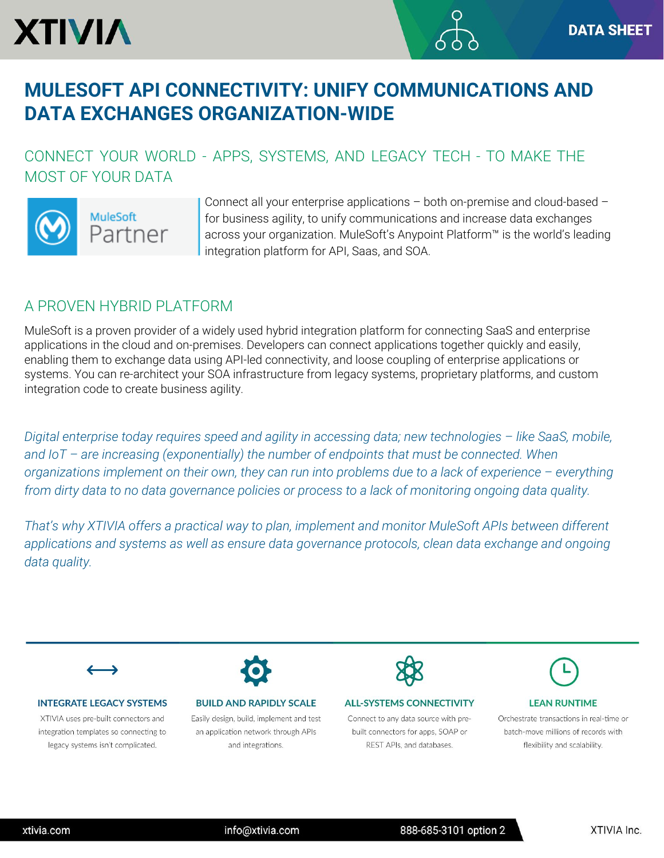

# **MULESOFT API CONNECTIVITY: UNIFY COMMUNICATIONS AND DATA EXCHANGES ORGANIZATION-WIDE**

## CONNECT YOUR WORLD - APPS, SYSTEMS, AND LEGACY TECH - TO MAKE THE MOST OF YOUR DATA



Connect all your enterprise applications – both on-premise and cloud-based – for business agility, to unify communications and increase data exchanges across your organization. MuleSoft's Anypoint Platform™ is the world's leading integration platform for API, Saas, and SOA.

### A PROVEN HYBRID PLATFORM

MuleSoft is a proven provider of a widely used hybrid integration platform for connecting SaaS and enterprise applications in the cloud and on-premises. Developers can connect applications together quickly and easily, enabling them to exchange data using API-led connectivity, and loose coupling of enterprise applications or systems. You can re-architect your SOA infrastructure from legacy systems, proprietary platforms, and custom integration code to create business agility.

*Digital enterprise today requires speed and agility in accessing data; new technologies – like SaaS, mobile, and IoT – are increasing (exponentially) the number of endpoints that must be connected. When organizations implement on their own, they can run into problems due to a lack of experience – everything from dirty data to no data governance policies or process to a lack of monitoring ongoing data quality.*

*That's why XTIVIA offers a practical way to plan, implement and monitor MuleSoft APIs between different applications and systems as well as ensure data governance protocols, clean data exchange and ongoing data quality.*



#### **INTEGRATE LEGACY SYSTEMS**

XTIVIA uses pre-built connectors and integration templates so connecting to legacy systems isn't complicated.



#### **BUILD AND RAPIDLY SCALE**

Easily design, build, implement and test an application network through APIs and integrations.



#### **ALL-SYSTEMS CONNECTIVITY**

Connect to any data source with prebuilt connectors for apps, SOAP or REST APIs, and databases.



#### **LEAN RUNTIME**

Orchestrate transactions in real-time or batch-move millions of records with flexibility and scalability.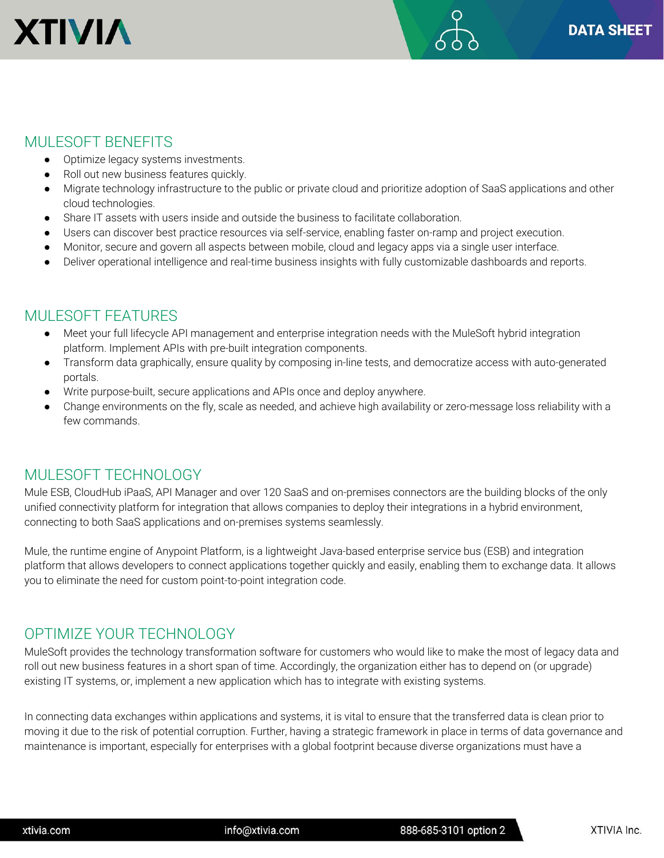



### MULESOFT BENEFITS

- Optimize legacy systems investments.
- Roll out new business features quickly.
- Migrate technology infrastructure to the public or private cloud and prioritize adoption of SaaS applications and other cloud technologies.
- Share IT assets with users inside and outside the business to facilitate collaboration.
- Users can discover best practice resources via self-service, enabling faster on-ramp and project execution.
- Monitor, secure and govern all aspects between mobile, cloud and legacy apps via a single user interface.
- Deliver operational intelligence and real-time business insights with fully customizable dashboards and reports.

# MULESOFT FEATURES

- Meet your full lifecycle API management and enterprise integration needs with the MuleSoft hybrid integration platform. Implement APIs with pre-built integration components.
- Transform data graphically, ensure quality by composing in-line tests, and democratize access with auto-generated portals.
- Write purpose-built, secure applications and APIs once and deploy anywhere.
- Change environments on the fly, scale as needed, and achieve high availability or zero-message loss reliability with a few commands.

# MULESOFT TECHNOLOGY

Mule ESB, CloudHub iPaaS, API Manager and over 120 SaaS and on-premises connectors are the building blocks of the only unified connectivity platform for integration that allows companies to deploy their integrations in a hybrid environment, connecting to both SaaS applications and on-premises systems seamlessly.

Mule, the runtime engine of Anypoint Platform, is a lightweight Java-based enterprise service bus (ESB) and integration platform that allows developers to connect applications together quickly and easily, enabling them to exchange data. It allows you to eliminate the need for custom point-to-point integration code.

# OPTIMIZE YOUR TECHNOLOGY

MuleSoft provides the technology transformation software for customers who would like to make the most of legacy data and roll out new business features in a short span of time. Accordingly, the organization either has to depend on (or upgrade) existing IT systems, or, implement a new application which has to integrate with existing systems.

In connecting data exchanges within applications and systems, it is vital to ensure that the transferred data is clean prior to moving it due to the risk of potential corruption. Further, having a strategic framework in place in terms of data governance and maintenance is important, especially for enterprises with a global footprint because diverse organizations must have a